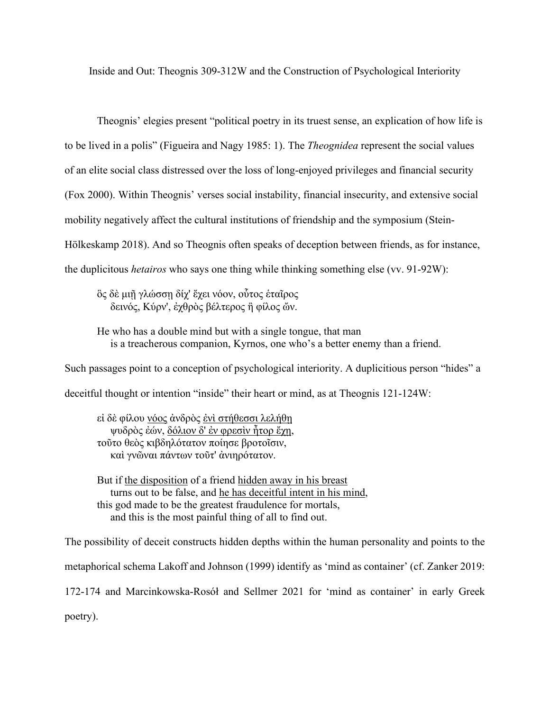Inside and Out: Theognis 309-312W and the Construction of Psychological Interiority

Theognis' elegies present "political poetry in its truest sense, an explication of how life is to be lived in a polis" (Figueira and Nagy 1985: 1). The *Theognidea* represent the social values of an elite social class distressed over the loss of long-enjoyed privileges and financial security (Fox 2000). Within Theognis' verses social instability, financial insecurity, and extensive social mobility negatively affect the cultural institutions of friendship and the symposium (Stein-Hölkeskamp 2018). And so Theognis often speaks of deception between friends, as for instance, the duplicitous *hetairos* who says one thing while thinking something else (vv. 91-92W):

ὃς δὲ μιῇ γλώσσῃ δίχ' ἔχει νόον, οὗτος ἑταῖρος δεινός, Κύρν', ἐχθρὸς βέλτερος ἢ φίλος ὤν.

He who has a double mind but with a single tongue, that man is a treacherous companion, Kyrnos, one who's a better enemy than a friend.

Such passages point to a conception of psychological interiority. A duplicitious person "hides" a deceitful thought or intention "inside" their heart or mind, as at Theognis 121-124W:

εί δὲ φίλου νόος ἀνδρὸς ένι στήθεσσι λελήθη ψυδρὸς ἐών, δόλιον δ' ἐν φρεσὶν ἦτορ ἔχῃ, τοῦτο θεὸς κιβδηλότατον ποίησε βροτοῖσιν, καὶ γνῶναι πάντων τοῦτ' ἀνιηρότατον.

But if the disposition of a friend hidden away in his breast turns out to be false, and he has deceitful intent in his mind, this god made to be the greatest fraudulence for mortals, and this is the most painful thing of all to find out.

The possibility of deceit constructs hidden depths within the human personality and points to the metaphorical schema Lakoff and Johnson (1999) identify as 'mind as container' (cf. Zanker 2019: 172-174 and Marcinkowska-Rosół and Sellmer 2021 for 'mind as container' in early Greek poetry).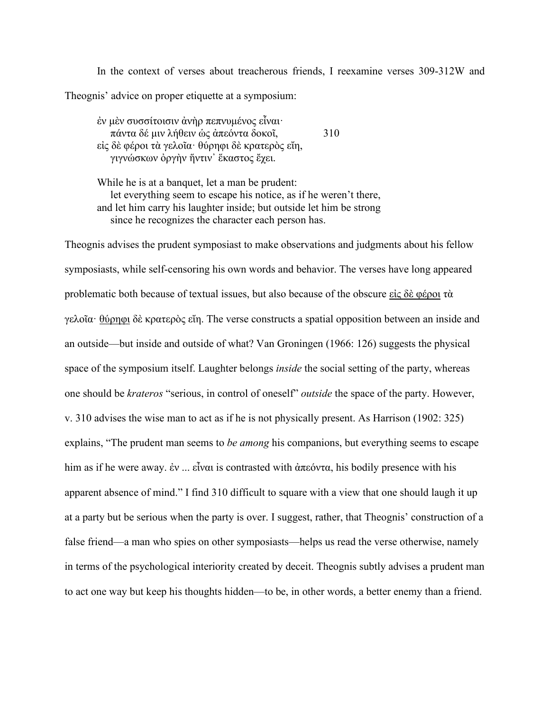In the context of verses about treacherous friends, I reexamine verses 309-312W and Theognis' advice on proper etiquette at a symposium:

ἐν μὲν συσσίτοισιν ἀνὴρ πεπνυμένος εἶναι· πάντα δέ μιν λήθειν ὡς ἀπεόντα δοκοῖ, 310 εἰς δὲ φέροι τὰ γελοῖα· θύρηφι δὲ κρατερὸς εἴη, γιγνώσκων ὀργὴν ἥντιν᾿ ἕκαστος ἔχει.

While he is at a banquet, let a man be prudent: let everything seem to escape his notice, as if he weren't there, and let him carry his laughter inside; but outside let him be strong since he recognizes the character each person has.

Theognis advises the prudent symposiast to make observations and judgments about his fellow symposiasts, while self-censoring his own words and behavior. The verses have long appeared problematic both because of textual issues, but also because of the obscure εἰς δὲ φέροι τὰ γελοΐα· θύρηφι δὲ κρατερὸς εἴη. The verse constructs a spatial opposition between an inside and an outside—but inside and outside of what? Van Groningen (1966: 126) suggests the physical space of the symposium itself. Laughter belongs *inside* the social setting of the party, whereas one should be *krateros* "serious, in control of oneself" *outside* the space of the party. However, v. 310 advises the wise man to act as if he is not physically present. As Harrison (1902: 325) explains, "The prudent man seems to *be among* his companions, but everything seems to escape him as if he were away. ἐν ... εἶναι is contrasted with ἀπεόντα, his bodily presence with his apparent absence of mind." I find 310 difficult to square with a view that one should laugh it up at a party but be serious when the party is over. I suggest, rather, that Theognis' construction of a false friend—a man who spies on other symposiasts—helps us read the verse otherwise, namely in terms of the psychological interiority created by deceit. Theognis subtly advises a prudent man to act one way but keep his thoughts hidden—to be, in other words, a better enemy than a friend.